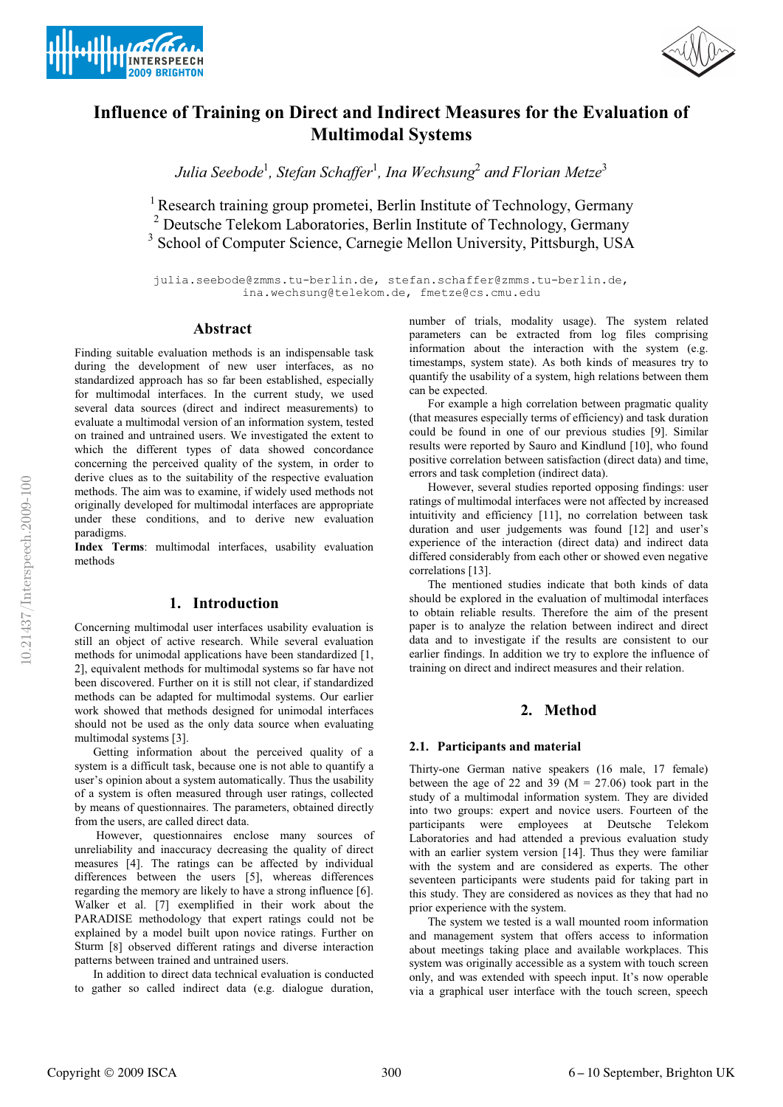



# **Influence of Training on Direct and Indirect Measures for the Evaluation of Multimodal Systems**

*Julia Seebode*<sup>1</sup> *, Stefan Schaffer*<sup>1</sup> *, Ina Wechsung*<sup>2</sup> *and Florian Metze*<sup>3</sup>

<sup>1</sup> Research training group prometei, Berlin Institute of Technology, Germany <sup>2</sup> Deutsche Telekom Laboratories, Berlin Institute of Technology, Germany <sup>3</sup> School of Computer Science, Carnegie Mellon University, Pittsburgh, USA

julia.seebode@zmms.tu-berlin.de, stefan.schaffer@zmms.tu-berlin.de, ina.wechsung@telekom.de, fmetze@cs.cmu.edu

#### **Abstract**

Finding suitable evaluation methods is an indispensable task during the development of new user interfaces, as no standardized approach has so far been established, especially for multimodal interfaces. In the current study, we used several data sources (direct and indirect measurements) to evaluate a multimodal version of an information system, tested on trained and untrained users. We investigated the extent to which the different types of data showed concordance concerning the perceived quality of the system, in order to derive clues as to the suitability of the respective evaluation methods. The aim was to examine, if widely used methods not originally developed for multimodal interfaces are appropriate under these conditions, and to derive new evaluation paradigms.

**Index Terms**: multimodal interfaces, usability evaluation methods

# **1. Introduction**

Concerning multimodal user interfaces usability evaluation is still an object of active research. While several evaluation methods for unimodal applications have been standardized [1, 2], equivalent methods for multimodal systems so far have not been discovered. Further on it is still not clear, if standardized methods can be adapted for multimodal systems. Our earlier work showed that methods designed for unimodal interfaces should not be used as the only data source when evaluating multimodal systems [3].

Getting information about the perceived quality of a system is a difficult task, because one is not able to quantify a user's opinion about a system automatically. Thus the usability of a system is often measured through user ratings, collected by means of questionnaires. The parameters, obtained directly from the users, are called direct data.

However, questionnaires enclose many sources of unreliability and inaccuracy decreasing the quality of direct measures [4]. The ratings can be affected by individual differences between the users [5], whereas differences regarding the memory are likely to have a strong influence [6]. Walker et al. [7] exemplified in their work about the PARADISE methodology that expert ratings could not be explained by a model built upon novice ratings. Further on Sturm [8] observed different ratings and diverse interaction patterns between trained and untrained users.

In addition to direct data technical evaluation is conducted to gather so called indirect data (e.g. dialogue duration, number of trials, modality usage). The system related parameters can be extracted from log files comprising information about the interaction with the system (e.g. timestamps, system state). As both kinds of measures try to quantify the usability of a system, high relations between them can be expected.

For example a high correlation between pragmatic quality (that measures especially terms of efficiency) and task duration could be found in one of our previous studies [9]. Similar results were reported by Sauro and Kindlund [10], who found positive correlation between satisfaction (direct data) and time, errors and task completion (indirect data).

However, several studies reported opposing findings: user ratings of multimodal interfaces were not affected by increased intuitivity and efficiency [11], no correlation between task duration and user judgements was found [12] and user's experience of the interaction (direct data) and indirect data differed considerably from each other or showed even negative correlations [13].

The mentioned studies indicate that both kinds of data should be explored in the evaluation of multimodal interfaces to obtain reliable results. Therefore the aim of the present paper is to analyze the relation between indirect and direct data and to investigate if the results are consistent to our earlier findings. In addition we try to explore the influence of training on direct and indirect measures and their relation.

# **2. Method**

#### **2.1. Participants and material**

Thirty-one German native speakers (16 male, 17 female) between the age of 22 and 39 ( $M = 27.06$ ) took part in the study of a multimodal information system. They are divided into two groups: expert and novice users. Fourteen of the participants were employees at Deutsche Telekom Laboratories and had attended a previous evaluation study with an earlier system version [14]. Thus they were familiar with the system and are considered as experts. The other seventeen participants were students paid for taking part in this study. They are considered as novices as they that had no prior experience with the system.

The system we tested is a wall mounted room information and management system that offers access to information about meetings taking place and available workplaces. This system was originally accessible as a system with touch screen only, and was extended with speech input. It's now operable via a graphical user interface with the touch screen, speech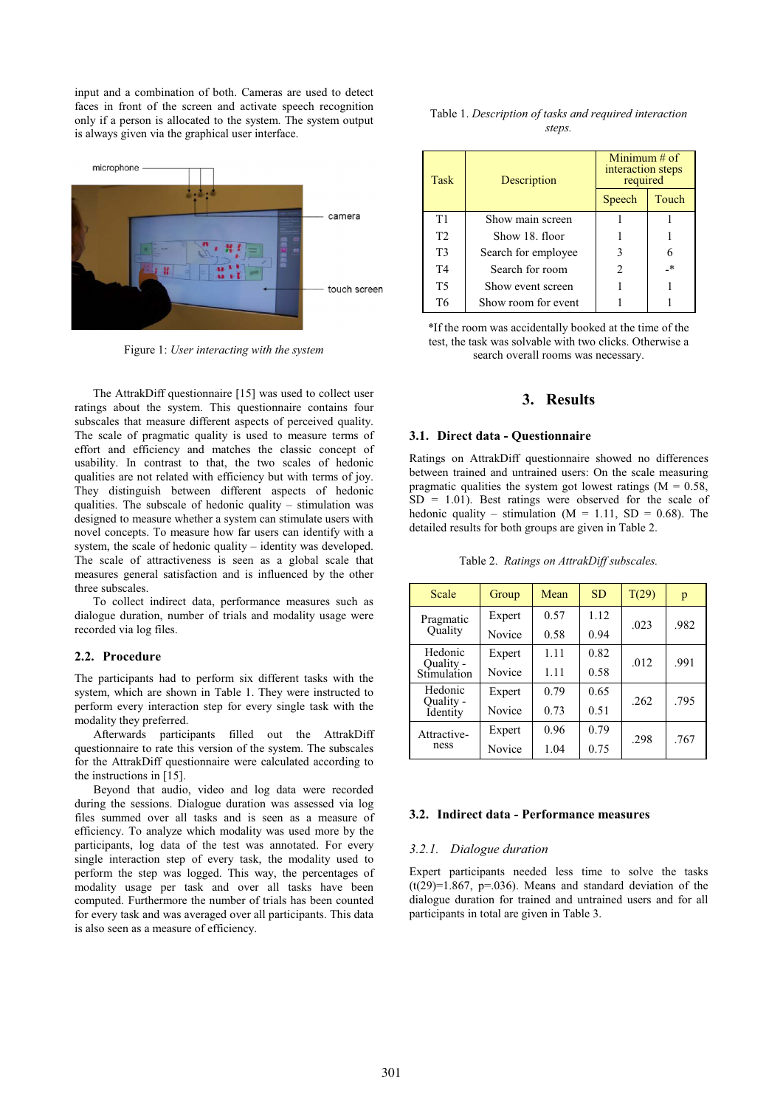input and a combination of both. Cameras are used to detect faces in front of the screen and activate speech recognition only if a person is allocated to the system. The system output is always given via the graphical user interface.



Figure 1: *User interacting with the system*

The AttrakDiff questionnaire [15] was used to collect user ratings about the system. This questionnaire contains four subscales that measure different aspects of perceived quality. The scale of pragmatic quality is used to measure terms of effort and efficiency and matches the classic concept of usability. In contrast to that, the two scales of hedonic qualities are not related with efficiency but with terms of joy. They distinguish between different aspects of hedonic qualities. The subscale of hedonic quality – stimulation was designed to measure whether a system can stimulate users with novel concepts. To measure how far users can identify with a system, the scale of hedonic quality – identity was developed. The scale of attractiveness is seen as a global scale that measures general satisfaction and is influenced by the other three subscales.

To collect indirect data, performance measures such as dialogue duration, number of trials and modality usage were recorded via log files.

#### **2.2. Procedure**

The participants had to perform six different tasks with the system, which are shown in Table 1. They were instructed to perform every interaction step for every single task with the modality they preferred.

Afterwards participants filled out the AttrakDiff questionnaire to rate this version of the system. The subscales for the AttrakDiff questionnaire were calculated according to the instructions in [15].

Beyond that audio, video and log data were recorded during the sessions. Dialogue duration was assessed via log files summed over all tasks and is seen as a measure of efficiency. To analyze which modality was used more by the participants, log data of the test was annotated. For every single interaction step of every task, the modality used to perform the step was logged. This way, the percentages of modality usage per task and over all tasks have been computed. Furthermore the number of trials has been counted for every task and was averaged over all participants. This data is also seen as a measure of efficiency.

| Table 1. Description of tasks and required interaction |  |
|--------------------------------------------------------|--|
| steps.                                                 |  |

| <b>Task</b>    | Description         | Minimum $#$ of<br>interaction steps<br>required |       |
|----------------|---------------------|-------------------------------------------------|-------|
|                |                     | Speech                                          | Touch |
| T1             | Show main screen    |                                                 |       |
| T <sub>2</sub> | Show 18. floor      |                                                 |       |
| T <sub>3</sub> | Search for employee |                                                 |       |
| T4             | Search for room     | $\mathfrak{D}$                                  | _*    |
| T5             | Show event screen   |                                                 |       |
| T6             | Show room for event |                                                 |       |

\*If the room was accidentally booked at the time of the test, the task was solvable with two clicks. Otherwise a search overall rooms was necessary.

# **3. Results**

#### **3.1. Direct data - Questionnaire**

Ratings on AttrakDiff questionnaire showed no differences between trained and untrained users: On the scale measuring pragmatic qualities the system got lowest ratings  $(M = 0.58$ ,  $SD = 1.01$ . Best ratings were observed for the scale of hedonic quality – stimulation  $(M = 1.11, SD = 0.68)$ . The detailed results for both groups are given in Table 2.

Table 2. *Ratings on AttrakDiff subscales.*

| Scale                    | Group  | Mean | <b>SD</b> | T(29) | p    |
|--------------------------|--------|------|-----------|-------|------|
| Pragmatic<br>Quality     | Expert | 0.57 | 1.12      | .023  | .982 |
|                          | Novice | 0.58 | 0.94      |       |      |
| Hedonic                  | Expert | 1.11 | 0.82      | .012  | .991 |
| Quality -<br>Stimulation | Novice | 1.11 | 0.58      |       |      |
| Hedonic                  | Expert | 0.79 | 0.65      | .262  | .795 |
| Quality -<br>Identity    | Novice | 0.73 | 0.51      |       |      |
| Attractive-<br>ness      | Expert | 0.96 | 0.79      | .298  | .767 |
|                          | Novice | 1.04 | 0.75      |       |      |

#### **3.2. Indirect data - Performance measures**

#### *3.2.1. Dialogue duration*

Expert participants needed less time to solve the tasks  $(t(29)=1.867, p=.036)$ . Means and standard deviation of the dialogue duration for trained and untrained users and for all participants in total are given in Table 3.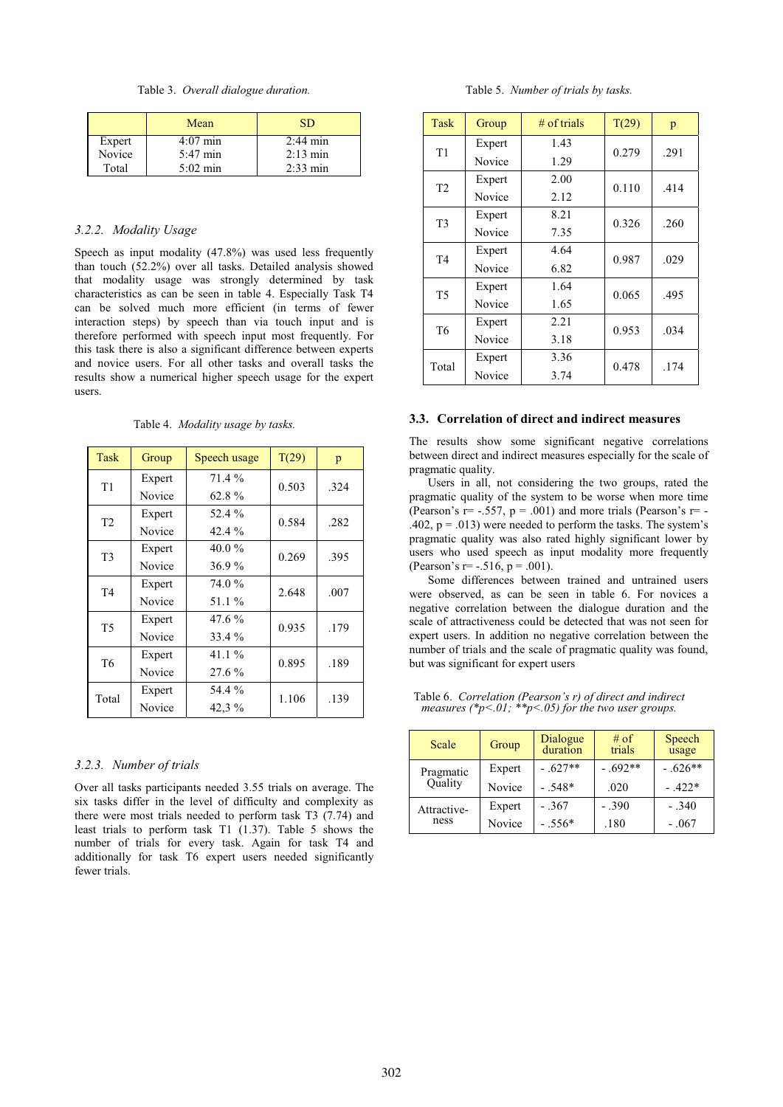Table 3. *Overall dialogue duration.*

|        | Mean               | <b>SD</b>          |
|--------|--------------------|--------------------|
| Expert | $4:07$ min         | $2:44 \text{ min}$ |
| Novice | 5:47 min           | $2:13$ min         |
| Total  | $5:02 \text{ min}$ | $2:33 \text{ min}$ |

### *3.2.2. Modality Usage*

Speech as input modality (47.8%) was used less frequently than touch (52.2%) over all tasks. Detailed analysis showed that modality usage was strongly determined by task characteristics as can be seen in table 4. Especially Task T4 can be solved much more efficient (in terms of fewer interaction steps) by speech than via touch input and is therefore performed with speech input most frequently. For this task there is also a significant difference between experts and novice users. For all other tasks and overall tasks the results show a numerical higher speech usage for the expert users.

Table 4. *Modality usage by tasks.*

| <b>Task</b>    | Group  | Speech usage | T(29) | p    |
|----------------|--------|--------------|-------|------|
| T1             | Expert | $71.4\%$     | 0.503 | .324 |
|                | Novice | $62.8\%$     |       |      |
| T <sub>2</sub> | Expert | 52.4 %       | 0.584 | .282 |
|                | Novice | 42.4 %       |       |      |
| T <sub>3</sub> | Expert | 40.0%        | 0.269 | .395 |
|                | Novice | 36.9%        |       |      |
| T <sub>4</sub> | Expert | 74.0 %       | 2.648 | .007 |
|                | Novice | 51.1 %       |       |      |
| <b>T5</b>      | Expert | $47.6\%$     | 0.935 | .179 |
|                | Novice | 33.4 %       |       |      |
| T <sub>6</sub> | Expert | 41.1 $%$     | 0.895 | .189 |
|                | Novice | 27.6 %       |       |      |
| Total          | Expert | 54.4 %       | 1.106 | .139 |
|                | Novice | 42,3 %       |       |      |

#### *3.2.3. Number of trials*

Over all tasks participants needed 3.55 trials on average. The six tasks differ in the level of difficulty and complexity as there were most trials needed to perform task T3 (7.74) and least trials to perform task T1 (1.37). Table 5 shows the number of trials for every task. Again for task T4 and additionally for task T6 expert users needed significantly fewer trials.

Table 5. *Number of trials by tasks.*

| Task           | Group  | $#$ of trials | T(29) | p    |
|----------------|--------|---------------|-------|------|
| T1             | Expert | 1.43          | 0.279 | .291 |
|                | Novice | 1.29          |       |      |
| T <sub>2</sub> | Expert | 2.00          | 0.110 | .414 |
|                | Novice | 2.12          |       |      |
| T <sub>3</sub> | Expert | 8.21          | 0.326 | .260 |
|                | Novice | 7.35          |       |      |
| T <sub>4</sub> | Expert | 4.64          | 0.987 | .029 |
|                | Novice | 6.82          |       |      |
| T <sub>5</sub> | Expert | 1.64          | 0.065 | .495 |
|                | Novice | 1.65          |       |      |
| T <sub>6</sub> | Expert | 2.21          | 0.953 | .034 |
|                | Novice | 3.18          |       |      |
| Total          | Expert | 3.36          | 0.478 | .174 |
|                | Novice | 3.74          |       |      |

#### **3.3. Correlation of direct and indirect measures**

The results show some significant negative correlations between direct and indirect measures especially for the scale of pragmatic quality.

Users in all, not considering the two groups, rated the pragmatic quality of the system to be worse when more time (Pearson's  $r = -.557$ ,  $p = .001$ ) and more trials (Pearson's  $r = -$ .402,  $p = .013$ ) were needed to perform the tasks. The system's pragmatic quality was also rated highly significant lower by users who used speech as input modality more frequently (Pearson's r= -.516,  $p = .001$ ).

Some differences between trained and untrained users were observed, as can be seen in table 6. For novices a negative correlation between the dialogue duration and the scale of attractiveness could be detected that was not seen for expert users. In addition no negative correlation between the number of trials and the scale of pragmatic quality was found, but was significant for expert users

| Scale                | Group  | Dialogue<br>duration | $#$ of<br>trials | Speech<br>usage |
|----------------------|--------|----------------------|------------------|-----------------|
| Pragmatic<br>Quality | Expert | $-.627**$            | $-.692**$        | $-.626**$       |
|                      | Novice | $-.548*$             | .020             | $-.422*$        |
| Attractive-<br>ness  | Expert | - 367                | - .390           | $-.340$         |
|                      | Novice | $-.556*$             | .180             | $-.067$         |

Table 6. *Correlation (Pearson's r) of direct and indirect measures (\*p<.01; \*\*p<.05) for the two user groups.*